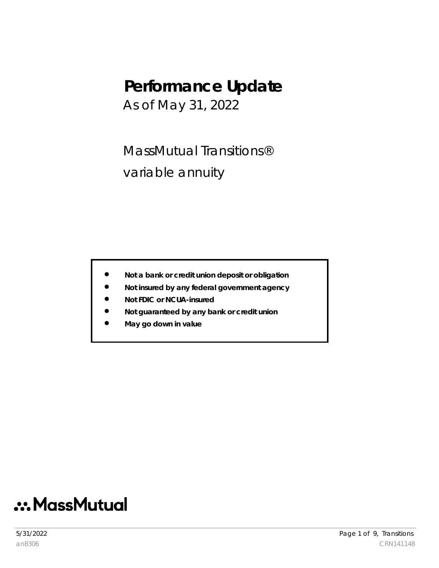# **Performance Update**

As of May 31, 2022

MassMutual Transitions® variable annuity

- **Not a bank or credit union deposit or obligation**
- **Not insured by any federal government agency**
- **Not FDIC or NCUA-insured**
- **Not guaranteed by any bank or credit union**
- **May go down in value**

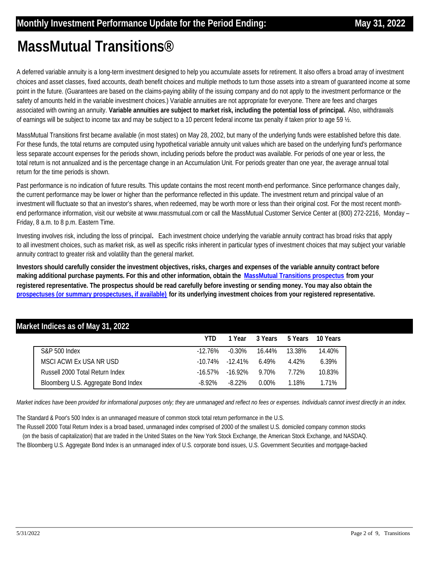# **MassMutual Transitions®**

A deferred variable annuity is a long-term investment designed to help you accumulate assets for retirement. It also offers a broad array of investment choices and asset classes, fixed accounts, death benefit choices and multiple methods to turn those assets into a stream of guaranteed income at some point in the future. (Guarantees are based on the claims-paying ability of the issuing company and do not apply to the investment performance or the safety of amounts held in the variable investment choices.) Variable annuities are not appropriate for everyone. There are fees and charges associated with owning an annuity. **Variable annuities are subject to market risk, including the potential loss of principal.** Also, withdrawals of earnings will be subject to income tax and may be subject to a 10 percent federal income tax penalty if taken prior to age 59 ½.

MassMutual Transitions first became available (in most states) on May 28, 2002, but many of the underlying funds were established before this date. For these funds, the total returns are computed using hypothetical variable annuity unit values which are based on the underlying fund's performance less separate account expenses for the periods shown, including periods before the product was available. For periods of one year or less, the total return is not annualized and is the percentage change in an Accumulation Unit. For periods greater than one year, the average annual total return for the time periods is shown.

Past performance is no indication of future results. This update contains the most recent month-end performance. Since performance changes daily, the current performance may be lower or higher than the performance reflected in this update. The investment return and principal value of an investment will fluctuate so that an investor's shares, when redeemed, may be worth more or less than their original cost. For the most recent monthend performance information, visit our website at www.massmutual.com or call the MassMutual Customer Service Center at (800) 272-2216, Monday – Friday, 8 a.m. to 8 p.m. Eastern Time.

Investing involves risk, including the loss of principal**.** Each investment choice underlying the variable annuity contract has broad risks that apply to all investment choices, such as market risk, as well as specific risks inherent in particular types of investment choices that may subject your variable annuity contract to greater risk and volatility than the general market.

**[Investors should carefully consider the investment objectives, risks, charges and expenses of the variable annuity contract before](https://www.massmutual.com/product-performance/product-performance-listing-page/massmutual-transitions)  making additional purchase payments. For this and other information, obtain the MassMutual Transitions prospectus from your registered representative. The prospectus should be read carefully before investing or sending money. You may also obtain the prospectuses (or summary prospectuses, if available) for its underlying investment choices from your registered representative.**

| Market Indices as of May 31, 2022   |            |            |          |         |          |
|-------------------------------------|------------|------------|----------|---------|----------|
|                                     | YTD        | 1 Year     | 3 Years  | 5 Years | 10 Years |
| S&P 500 Index                       | $-12.76%$  | $-0.30\%$  | 16.44%   | 13.38%  | 14.40%   |
| MSCI ACWI Ex USA NR USD             | $-10.74\%$ | $-12.41\%$ | 6.49%    | 4.42%   | 6.39%    |
| Russell 2000 Total Return Index     | $-16.57\%$ | $-16.92\%$ | 9.70%    | 7.72%   | 10.83%   |
| Bloomberg U.S. Aggregate Bond Index | $-8.92\%$  | $-8.22\%$  | $0.00\%$ | 1.18%   | 1.71%    |

*Market indices have been provided for informational purposes only; they are unmanaged and reflect no fees or expenses. Individuals cannot invest directly in an index.* 

The Standard & Poor's 500 Index is an unmanaged measure of common stock total return performance in the U.S.

The Russell 2000 Total Return Index is a broad based, unmanaged index comprised of 2000 of the smallest U.S. domiciled company common stocks (on the basis of capitalization) that are traded in the United States on the New York Stock Exchange, the American Stock Exchange, and NASDAQ.

The Bloomberg U.S. Aggregate Bond Index is an unmanaged index of U.S. corporate bond issues, U.S. Government Securities and mortgage-backed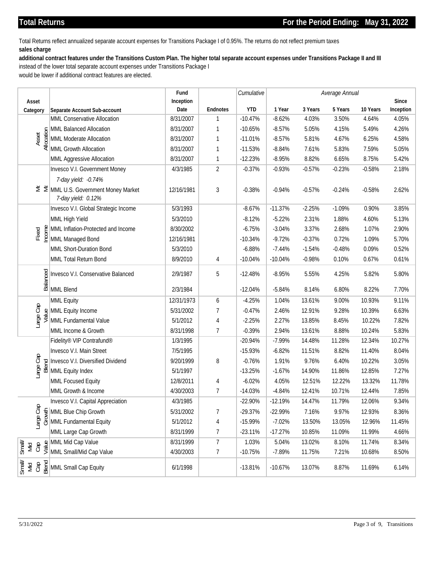Total Returns reflect annualized separate account expenses for Transitions Package I of 0.95%. The returns do not reflect premium taxes **sales charge**

### **additional contract features under the Transitions Custom Plan. The higher total separate account expenses under Transitions Package II and III**

instead of the lower total separate account expenses under Transitions Package I

would be lower if additional contract features are elected.

| Asset<br>Category<br>Asset | Separate Account Sub-account<br>MML Conservative Allocation<br>55 MML Balanced Allocation<br>MML Moderate Allocation<br>MML Growth Allocation<br>MML Aggressive Allocation<br>Invesco V.I. Government Money<br>7-day yield: -0.74%<br>$\leq$ $\leq$ MML U.S. Government Money Market | Inception<br>Date<br>8/31/2007<br>8/31/2007<br>8/31/2007<br>8/31/2007<br>8/31/2007<br>4/3/1985 | <b>Endnotes</b><br>$\mathbf{1}$<br>1<br>1<br>$\mathbf{1}$<br>1 | <b>YTD</b><br>$-10.47%$<br>$-10.65%$<br>$-11.01%$<br>$-11.53%$ | 1 Year<br>$-8.62%$<br>$-8.57%$<br>$-8.57%$<br>$-8.84%$ | 3 Years<br>4.03%<br>5.05%<br>5.81% | 5 Years<br>3.50%<br>4.15%<br>4.67% | 10 Years<br>4.64%<br>5.49%<br>6.25% | Since<br>Inception<br>4.05%<br>4.26%<br>4.58% |
|----------------------------|--------------------------------------------------------------------------------------------------------------------------------------------------------------------------------------------------------------------------------------------------------------------------------------|------------------------------------------------------------------------------------------------|----------------------------------------------------------------|----------------------------------------------------------------|--------------------------------------------------------|------------------------------------|------------------------------------|-------------------------------------|-----------------------------------------------|
|                            |                                                                                                                                                                                                                                                                                      |                                                                                                |                                                                |                                                                |                                                        |                                    |                                    |                                     |                                               |
|                            |                                                                                                                                                                                                                                                                                      |                                                                                                |                                                                |                                                                |                                                        |                                    |                                    |                                     |                                               |
|                            |                                                                                                                                                                                                                                                                                      |                                                                                                |                                                                |                                                                |                                                        |                                    |                                    |                                     |                                               |
|                            |                                                                                                                                                                                                                                                                                      |                                                                                                |                                                                |                                                                |                                                        |                                    |                                    |                                     |                                               |
|                            |                                                                                                                                                                                                                                                                                      |                                                                                                |                                                                |                                                                |                                                        |                                    |                                    |                                     |                                               |
|                            |                                                                                                                                                                                                                                                                                      |                                                                                                |                                                                |                                                                |                                                        | 7.61%                              | 5.83%                              | 7.59%                               | 5.05%                                         |
|                            |                                                                                                                                                                                                                                                                                      |                                                                                                |                                                                | $-12.23%$                                                      | $-8.95%$                                               | 8.82%                              | 6.65%                              | 8.75%                               | 5.42%                                         |
|                            |                                                                                                                                                                                                                                                                                      |                                                                                                | $\overline{2}$                                                 | $-0.37%$                                                       | $-0.93%$                                               | $-0.57%$                           | $-0.23%$                           | $-0.58%$                            | 2.18%                                         |
|                            |                                                                                                                                                                                                                                                                                      |                                                                                                |                                                                |                                                                |                                                        |                                    |                                    |                                     |                                               |
|                            | 7-day yield: 0.12%                                                                                                                                                                                                                                                                   | 12/16/1981                                                                                     | 3                                                              | $-0.38%$                                                       | $-0.94%$                                               | $-0.57%$                           | $-0.24%$                           | $-0.58%$                            | 2.62%                                         |
|                            | Invesco V.I. Global Strategic Income                                                                                                                                                                                                                                                 | 5/3/1993                                                                                       |                                                                | $-8.67%$                                                       | $-11.37%$                                              | $-2.25%$                           | $-1.09%$                           | 0.90%                               | 3.85%                                         |
|                            | MML High Yield                                                                                                                                                                                                                                                                       | 5/3/2010                                                                                       |                                                                | $-8.12%$                                                       | $-5.22%$                                               | 2.31%                              | 1.88%                              | 4.60%                               | 5.13%                                         |
|                            |                                                                                                                                                                                                                                                                                      | 8/30/2002                                                                                      |                                                                | $-6.75%$                                                       | $-3.04%$                                               | 3.37%                              | 2.68%                              | 1.07%                               | 2.90%                                         |
|                            | e e MML Inflation-Protected and Income<br>.≚ e MML Managed Bond                                                                                                                                                                                                                      | 12/16/1981                                                                                     |                                                                | $-10.34%$                                                      | $-9.72%$                                               | $-0.37%$                           | 0.72%                              | 1.09%                               | 5.70%                                         |
|                            | MML Short-Duration Bond                                                                                                                                                                                                                                                              | 5/3/2010                                                                                       |                                                                | $-6.88%$                                                       | $-7.44%$                                               | $-1.54%$                           | $-0.48%$                           | 0.09%                               | 0.52%                                         |
|                            | MML Total Return Bond                                                                                                                                                                                                                                                                | 8/9/2010                                                                                       | 4                                                              | $-10.04%$                                                      | $-10.04%$                                              | $-0.98%$                           | 0.10%                              | 0.67%                               | 0.61%                                         |
|                            | $\frac{100}{100}$ Invesco V.I.<br>$\frac{100}{100}$ MML Blend<br>Invesco V.I. Conservative Balanced                                                                                                                                                                                  | 2/9/1987                                                                                       | 5                                                              | $-12.48%$                                                      | $-8.95%$                                               | 5.55%                              | 4.25%                              | 5.82%                               | 5.80%                                         |
|                            |                                                                                                                                                                                                                                                                                      | 2/3/1984                                                                                       |                                                                | $-12.04%$                                                      | $-5.84%$                                               | 8.14%                              | 6.80%                              | 8.22%                               | 7.70%                                         |
|                            | MML Equity                                                                                                                                                                                                                                                                           | 12/31/1973                                                                                     | 6                                                              | $-4.25%$                                                       | 1.04%                                                  | 13.61%                             | 9.00%                              | 10.93%                              | 9.11%                                         |
| Large Cap                  |                                                                                                                                                                                                                                                                                      | 5/31/2002                                                                                      | 7                                                              | $-0.47%$                                                       | 2.46%                                                  | 12.91%                             | 9.28%                              | 10.39%                              | 6.63%                                         |
|                            | $\frac{9}{5}$ MML Equity Income<br>MML Fundamental Value                                                                                                                                                                                                                             | 5/1/2012                                                                                       | 4                                                              | $-2.25%$                                                       | 2.27%                                                  | 13.85%                             | 8.45%                              | 10.22%                              | 7.82%                                         |
|                            | MML Income & Growth                                                                                                                                                                                                                                                                  | 8/31/1998                                                                                      | 7                                                              | $-0.39%$                                                       | 2.94%                                                  | 13.61%                             | 8.88%                              | 10.24%                              | 5.83%                                         |
|                            | Fidelity® VIP Contrafund®                                                                                                                                                                                                                                                            | 1/3/1995                                                                                       |                                                                | $-20.94%$                                                      | $-7.99%$                                               | 14.48%                             | 11.28%                             | 12.34%                              | 10.27%                                        |
|                            | Invesco V.I. Main Street                                                                                                                                                                                                                                                             | 7/5/1995                                                                                       |                                                                | $-15.93%$                                                      | $-6.82%$                                               | 11.51%                             | 8.82%                              | 11.40%                              | 8.04%                                         |
| Large Cap                  |                                                                                                                                                                                                                                                                                      | 9/20/1999                                                                                      | 8                                                              | $-0.76%$                                                       | 1.91%                                                  | 9.76%                              | 6.40%                              | 10.22%                              | 3.05%                                         |
|                            | pel Invesco V.I. Diversified Dividend<br>AML Equity Index                                                                                                                                                                                                                            | 5/1/1997                                                                                       |                                                                | $-13.25%$                                                      | $-1.67%$                                               | 14.90%                             | 11.86%                             | 12.85%                              | 7.27%                                         |
|                            | MML Focused Equity                                                                                                                                                                                                                                                                   | 12/8/2011                                                                                      | 4                                                              | $-6.02%$                                                       | 4.05%                                                  | 12.51%                             | 12.22%                             | 13.32%                              | 11.78%                                        |
|                            | MML Growth & Income                                                                                                                                                                                                                                                                  | 4/30/2003                                                                                      | 7                                                              | $-14.03%$                                                      | $-4.84%$                                               | 12.41%                             | 10.71%                             | 12.44%                              | 7.85%                                         |
|                            | Invesco V.I. Capital Appreciation                                                                                                                                                                                                                                                    | 4/3/1985                                                                                       |                                                                | $-22.90%$                                                      | $-12.19%$                                              | 14.47%                             | 11.79%                             | 12.06%                              | 9.34%                                         |
|                            | and the Chip Growth<br>Second the Chip Growth<br>MML Fundamental Equity<br>MML Fundamental Equity                                                                                                                                                                                    | 5/31/2002                                                                                      |                                                                | $-29.37%$                                                      | -22.99%                                                | 7.16%                              | 9.97%                              | 12.93%                              | 8.36%                                         |
|                            |                                                                                                                                                                                                                                                                                      | 5/1/2012                                                                                       | 4                                                              | $-15.99%$                                                      | $-7.02%$                                               | 13.50%                             | 13.05%                             | 12.96%                              | 11.45%                                        |
|                            | MML Large Cap Growth                                                                                                                                                                                                                                                                 | 8/31/1999                                                                                      | 7                                                              | $-23.11%$                                                      | $-17.27%$                                              | 10.85%                             | 11.09%                             | 11.99%                              | 4.66%                                         |
|                            |                                                                                                                                                                                                                                                                                      | 8/31/1999                                                                                      | $\overline{7}$                                                 | 1.03%                                                          | 5.04%                                                  | 13.02%                             | 8.10%                              | 11.74%                              | 8.34%                                         |
|                            | $\frac{1}{\overline{5}}$ $\frac{1}{\overline{5}}$ $\frac{1}{\overline{5}}$ $\frac{1}{\overline{5}}$ MML Mid Cap Value<br>$\overline{5}$ $\overline{5}$ $\overline{5}$ MML Small/Mid Cap Value                                                                                        | 4/30/2003                                                                                      | 7                                                              | $-10.75%$                                                      | $-7.89%$                                               | 11.75%                             | 7.21%                              | 10.68%                              | 8.50%                                         |
|                            | $\begin{bmatrix} \frac{1}{\sqrt{2}} \\ \frac{1}{\sqrt{2}} \end{bmatrix}$ $\frac{1}{\sqrt{2}}$ $\begin{bmatrix} \frac{1}{\sqrt{2}} \\ \frac{1}{\sqrt{2}} \end{bmatrix}$ MML Small Cap Equity                                                                                          | 6/1/1998                                                                                       |                                                                | $-13.81%$                                                      | $-10.67%$                                              | 13.07%                             | 8.87%                              | 11.69%                              | 6.14%                                         |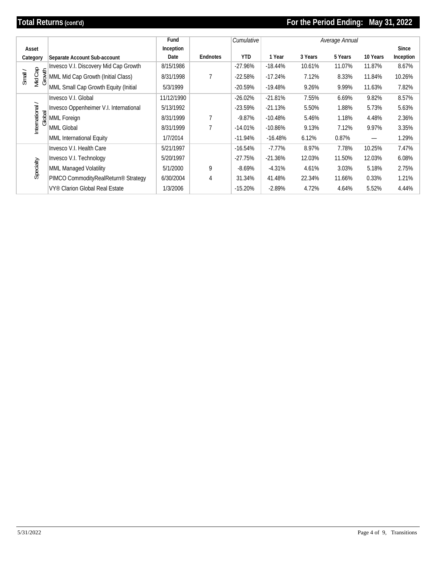# **Total Returns (cont'd) For the Period Ending: May 31, 2022**

|                 |                                                                                                                                                                                               | Fund       |                | Cumulative |           |         | Average Annual |                          |           |
|-----------------|-----------------------------------------------------------------------------------------------------------------------------------------------------------------------------------------------|------------|----------------|------------|-----------|---------|----------------|--------------------------|-----------|
| Asset           |                                                                                                                                                                                               | Inception  |                |            |           |         |                |                          | Since     |
| Category        | Separate Account Sub-account                                                                                                                                                                  | Date       | Endnotes       | <b>YTD</b> | 1 Year    | 3 Years | 5 Years        | 10 Years                 | Inception |
|                 | Invesco V.I. Discovery Mid Cap Growth                                                                                                                                                         | 8/15/1986  |                | $-27.96%$  | $-18.44%$ | 10.61%  | 11.07%         | 11.87%                   | 8.67%     |
| Small /         | $\begin{bmatrix} 1 & 0 & 0 \\ 0 & 0 & 0 \\ 0 & 0 & 0 \end{bmatrix}$ MML Mid Cap Growth (Initial Class)<br>$\begin{bmatrix} 1 & 0 \\ 0 & 0 \end{bmatrix}$ MML Small Cap Growth Equity (Initial | 8/31/1998  | $\overline{7}$ | $-22.58%$  | $-17.24%$ | 7.12%   | 8.33%          | 11.84%                   | 10.26%    |
|                 | MML Small Cap Growth Equity (Initial                                                                                                                                                          | 5/3/1999   |                | $-20.59%$  | $-19.48%$ | 9.26%   | 9.99%          | 11.63%                   | 7.82%     |
|                 | Invesco V.I. Global                                                                                                                                                                           | 11/12/1990 |                | $-26.02%$  | $-21.81%$ | 7.55%   | 6.69%          | 9.82%                    | 8.57%     |
|                 | Invesco Oppenheimer V.I. International                                                                                                                                                        | 5/13/1992  |                | $-23.59%$  | $-21.13%$ | 5.50%   | 1.88%          | 5.73%                    | 5.63%     |
| Global          | MML Foreign                                                                                                                                                                                   | 8/31/1999  | $\overline{7}$ | $-9.87%$   | $-10.48%$ | 5.46%   | 1.18%          | 4.48%                    | 2.36%     |
| International / | MML Global                                                                                                                                                                                    | 8/31/1999  | $\overline{7}$ | $-14.01%$  | $-10.86%$ | 9.13%   | 7.12%          | 9.97%                    | 3.35%     |
|                 | MML International Equity                                                                                                                                                                      | 1/7/2014   |                | $-11.94%$  | $-16.48%$ | 6.12%   | 0.87%          | $\overline{\phantom{0}}$ | 1.29%     |
|                 | Invesco V.I. Health Care                                                                                                                                                                      | 5/21/1997  |                | $-16.54%$  | $-7.77%$  | 8.97%   | 7.78%          | 10.25%                   | 7.47%     |
|                 | Invesco V.I. Technology                                                                                                                                                                       | 5/20/1997  |                | $-27.75%$  | $-21.36%$ | 12.03%  | 11.50%         | 12.03%                   | 6.08%     |
| Specialty       | MML Managed Volatility                                                                                                                                                                        | 5/1/2000   | 9              | $-8.69%$   | $-4.31%$  | 4.61%   | 3.03%          | 5.18%                    | 2.75%     |
|                 | PIMCO CommodityRealReturn <sup>®</sup> Strategy                                                                                                                                               | 6/30/2004  | 4              | 31.34%     | 41.48%    | 22.34%  | 11.66%         | 0.33%                    | 1.21%     |
|                 | VY® Clarion Global Real Estate                                                                                                                                                                | 1/3/2006   |                | $-15.20%$  | $-2.89%$  | 4.72%   | 4.64%          | 5.52%                    | 4.44%     |
|                 |                                                                                                                                                                                               |            |                |            |           |         |                |                          |           |
|                 |                                                                                                                                                                                               |            |                |            |           |         |                |                          |           |
|                 |                                                                                                                                                                                               |            |                |            |           |         |                |                          |           |
|                 |                                                                                                                                                                                               |            |                |            |           |         |                |                          |           |
|                 |                                                                                                                                                                                               |            |                |            |           |         |                |                          |           |
|                 |                                                                                                                                                                                               |            |                |            |           |         |                |                          |           |
|                 |                                                                                                                                                                                               |            |                |            |           |         |                |                          |           |
|                 |                                                                                                                                                                                               |            |                |            |           |         |                |                          |           |
|                 |                                                                                                                                                                                               |            |                |            |           |         |                |                          |           |
|                 |                                                                                                                                                                                               |            |                |            |           |         |                |                          |           |
|                 |                                                                                                                                                                                               |            |                |            |           |         |                |                          |           |
|                 |                                                                                                                                                                                               |            |                |            |           |         |                |                          |           |
|                 |                                                                                                                                                                                               |            |                |            |           |         |                |                          |           |
|                 |                                                                                                                                                                                               |            |                |            |           |         |                |                          |           |
|                 |                                                                                                                                                                                               |            |                |            |           |         |                |                          |           |
|                 |                                                                                                                                                                                               |            |                |            |           |         |                |                          |           |
|                 |                                                                                                                                                                                               |            |                |            |           |         |                |                          |           |
|                 |                                                                                                                                                                                               |            |                |            |           |         |                |                          |           |
|                 |                                                                                                                                                                                               |            |                |            |           |         |                |                          |           |
|                 |                                                                                                                                                                                               |            |                |            |           |         |                |                          |           |
|                 |                                                                                                                                                                                               |            |                |            |           |         |                |                          |           |
|                 |                                                                                                                                                                                               |            |                |            |           |         |                |                          |           |
|                 |                                                                                                                                                                                               |            |                |            |           |         |                |                          |           |
|                 |                                                                                                                                                                                               |            |                |            |           |         |                |                          |           |
|                 |                                                                                                                                                                                               |            |                |            |           |         |                |                          |           |
|                 |                                                                                                                                                                                               |            |                |            |           |         |                |                          |           |
|                 |                                                                                                                                                                                               |            |                |            |           |         |                |                          |           |
|                 |                                                                                                                                                                                               |            |                |            |           |         |                |                          |           |
|                 |                                                                                                                                                                                               |            |                |            |           |         |                |                          |           |
|                 |                                                                                                                                                                                               |            |                |            |           |         |                |                          |           |
|                 |                                                                                                                                                                                               |            |                |            |           |         |                |                          |           |
|                 |                                                                                                                                                                                               |            |                |            |           |         |                |                          |           |
|                 |                                                                                                                                                                                               |            |                |            |           |         |                |                          |           |
|                 |                                                                                                                                                                                               |            |                |            |           |         |                |                          |           |
|                 |                                                                                                                                                                                               |            |                |            |           |         |                |                          |           |
| 5/31/2022       |                                                                                                                                                                                               |            |                |            |           |         |                | Page 4 of 9, Transitions |           |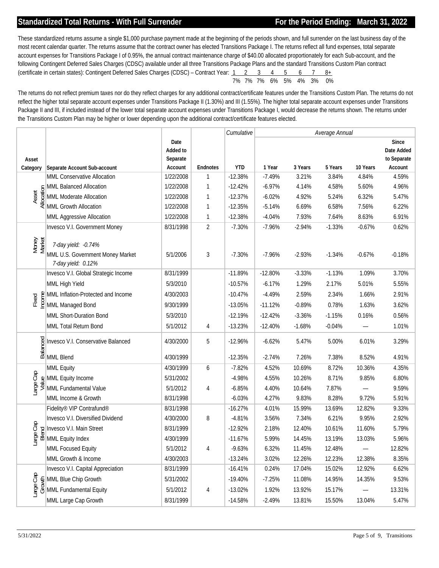# **Standardized Total Returns - With Full Surrender For the Period Ending: March 31, 2022**

These standardized returns assume a single \$1,000 purchase payment made at the beginning of the periods shown, and full surrender on the last business day of the most recent calendar quarter. The returns assume that the contract owner has elected Transitions Package I. The returns reflect all fund expenses, total separate account expenses for Transitions Package I of 0.95%, the annual contract maintenance charge of \$40.00 allocated proportionately for each Sub-account, and the following Contingent Deferred Sales Charges (CDSC) available under all three Transitions Package Plans and the standard Transitions Custom Plan contract (certificate in certain states): Contingent Deferred Sales Charges (CDSC) – Contract Year: 1 2 3 4 5 6 7 8+ 7% 7% 7% 6% 5% 4% 3% 0%

 The returns do not reflect premium taxes nor do they reflect charges for any additional contract/certificate features under the Transitions Custom Plan. The returns do not reflect the higher total separate account expenses under Transitions Package II (1.30%) and III (1.55%). The higher total separate account expenses under Transitions Package II and III, if included instead of the lower total separate account expenses under Transitions Package I, would decrease the returns shown. The returns under the Transitions Custom Plan may be higher or lower depending upon the additional contract/certificate features elected.

|                 |                                                                                                                                                                                                                                |                     |                 | Cumulative | Average Annual |          |          |          |                          |
|-----------------|--------------------------------------------------------------------------------------------------------------------------------------------------------------------------------------------------------------------------------|---------------------|-----------------|------------|----------------|----------|----------|----------|--------------------------|
|                 |                                                                                                                                                                                                                                | Date                |                 |            |                |          |          |          | Since                    |
|                 |                                                                                                                                                                                                                                | Added to            |                 |            |                |          |          |          | Date Added               |
| Asset           | Separate Account Sub-account                                                                                                                                                                                                   | Separate<br>Account | <b>Endnotes</b> | <b>YTD</b> | 1 Year         | 3 Years  | 5 Years  | 10 Years | to Separate<br>Account   |
| Category        | MML Conservative Allocation                                                                                                                                                                                                    | 1/22/2008           | 1               | $-12.38%$  | $-7.49%$       | 3.21%    | 3.84%    | 4.84%    | 4.59%                    |
|                 | MML Balanced Allocation                                                                                                                                                                                                        | 1/22/2008           | 1               | $-12.42%$  | $-6.97%$       | 4.14%    | 4.58%    | 5.60%    | 4.96%                    |
| Asset           | Solum Balanced Allocation<br>MML Moderate Allocation<br>MML Growth Allocation<br>MML Moderate Allocation                                                                                                                       | 1/22/2008           | 1               | $-12.37%$  | $-6.02%$       | 4.92%    | 5.24%    | 6.32%    | 5.47%                    |
|                 |                                                                                                                                                                                                                                | 1/22/2008           | 1               | $-12.35%$  | $-5.14%$       | 6.69%    | 6.58%    | 7.56%    | 6.22%                    |
|                 | MML Aggressive Allocation                                                                                                                                                                                                      | 1/22/2008           | 1               | $-12.38%$  | $-4.04%$       | 7.93%    | 7.64%    | 8.63%    | 6.91%                    |
|                 | Invesco V.I. Government Money                                                                                                                                                                                                  | 8/31/1998           | $\overline{2}$  | $-7.30%$   | $-7.96%$       | $-2.94%$ | $-1.33%$ | $-0.67%$ | 0.62%                    |
|                 |                                                                                                                                                                                                                                |                     |                 |            |                |          |          |          |                          |
| Money<br>Market | 7-day yield: -0.74%                                                                                                                                                                                                            |                     |                 |            |                |          |          |          |                          |
|                 | MML U.S. Government Money Market                                                                                                                                                                                               | 5/1/2006            | 3               | $-7.30%$   | $-7.96%$       | $-2.93%$ | $-1.34%$ | $-0.67%$ | $-0.18%$                 |
|                 | 7-day yield: 0.12%                                                                                                                                                                                                             |                     |                 |            |                |          |          |          |                          |
|                 | Invesco V.I. Global Strategic Income                                                                                                                                                                                           | 8/31/1999           |                 | $-11.89%$  | $-12.80%$      | $-3.33%$ | $-1.13%$ | 1.09%    | 3.70%                    |
|                 | MML High Yield                                                                                                                                                                                                                 | 5/3/2010            |                 | $-10.57%$  | $-6.17%$       | 1.29%    | 2.17%    | 5.01%    | 5.55%                    |
|                 | e a and Income<br>∴ a a mull Inflation-Protected and Income<br>∴ a le MML Managed Bond                                                                                                                                         | 4/30/2003           |                 | $-10.47%$  | $-4.49%$       | 2.59%    | 2.34%    | 1.66%    | 2.91%                    |
|                 |                                                                                                                                                                                                                                | 9/30/1999           |                 | $-13.05%$  | $-11.12%$      | $-0.89%$ | 0.78%    | 1.63%    | 3.62%                    |
|                 | MML Short-Duration Bond                                                                                                                                                                                                        | 5/3/2010            |                 | $-12.19%$  | $-12.42%$      | $-3.36%$ | $-1.15%$ | 0.16%    | 0.56%                    |
|                 | MML Total Return Bond                                                                                                                                                                                                          | 5/1/2012            | 4               | $-13.23%$  | $-12.40%$      | $-1.68%$ | $-0.04%$ |          | 1.01%                    |
|                 | $\frac{dS}{dS}$ Invesco V.I.<br>$\frac{dS}{dS}$ MML Blend<br>Invesco V.I. Conservative Balanced                                                                                                                                | 4/30/2000           | 5               | $-12.96%$  | $-6.62%$       | 5.47%    | 5.00%    | 6.01%    | 3.29%                    |
|                 |                                                                                                                                                                                                                                | 4/30/1999           |                 | $-12.35%$  | $-2.74%$       | 7.26%    | 7.38%    | 8.52%    | 4.91%                    |
|                 | MML Equity                                                                                                                                                                                                                     | 4/30/1999           | 6               | $-7.82%$   | 4.52%          | 10.69%   | 8.72%    | 10.36%   | 4.35%                    |
|                 | $\frac{9}{2}$ MML Equity Income                                                                                                                                                                                                | 5/31/2002           |                 | $-4.98%$   | 4.55%          | 10.26%   | 8.71%    | 9.85%    | 6.80%                    |
| Large Cap       | MML Fundamental Value                                                                                                                                                                                                          | 5/1/2012            | 4               | $-6.85%$   | 4.40%          | 10.64%   | 7.87%    |          | 9.59%                    |
|                 | MML Income & Growth                                                                                                                                                                                                            | 8/31/1998           |                 | $-6.03%$   | 4.27%          | 9.83%    | 8.28%    | 9.72%    | 5.91%                    |
|                 | Fidelity® VIP Contrafund®                                                                                                                                                                                                      | 8/31/1998           |                 | $-16.27%$  | 4.01%          | 15.99%   | 13.69%   | 12.82%   | 9.33%                    |
|                 | Invesco V.I. Diversified Dividend                                                                                                                                                                                              | 4/30/2000           | 8               | $-4.81%$   | 3.56%          | 7.34%    | 6.21%    | 9.95%    | 2.92%                    |
|                 | and and the second state of the second state of the second state of the second state of the second state of the second state of the second state of the second state of the second state of the second state of the second sta | 8/31/1999           |                 | $-12.92%$  | 2.18%          | 12.40%   | 10.61%   | 11.60%   | 5.79%                    |
|                 |                                                                                                                                                                                                                                | 4/30/1999           |                 | $-11.67%$  | 5.99%          | 14.45%   | 13.19%   | 13.03%   | 5.96%                    |
|                 | MML Focused Equity                                                                                                                                                                                                             | 5/1/2012            |                 | $-9.63%$   | 6.32%          | 11.45%   | 12.48%   |          | 12.82%                   |
|                 | MML Growth & Income                                                                                                                                                                                                            | 4/30/2003           |                 | $-13.24%$  | 3.02%          | 12.26%   | 12.23%   | 12.38%   | 8.35%                    |
|                 | Invesco V.I. Capital Appreciation                                                                                                                                                                                              | 8/31/1999           |                 | $-16.41%$  | 0.24%          | 17.04%   | 15.02%   | 12.92%   | 6.62%                    |
|                 |                                                                                                                                                                                                                                | 5/31/2002           |                 | $-19.40%$  | $-7.25%$       | 11.08%   | 14.95%   | 14.35%   | 9.53%                    |
|                 | as a<br>MML Blue Chip Growth<br>Say O MML Fundamental Equi<br>MML Fundamental Equity                                                                                                                                           | 5/1/2012            | 4               | $-13.02%$  | 1.92%          | 13.92%   | 15.17%   |          | 13.31%                   |
|                 | MML Large Cap Growth                                                                                                                                                                                                           | 8/31/1999           |                 | $-14.58%$  | $-2.49%$       | 13.81%   | 15.50%   | 13.04%   | 5.47%                    |
| 5/31/2022       |                                                                                                                                                                                                                                |                     |                 |            |                |          |          |          | Page 5 of 9, Transitions |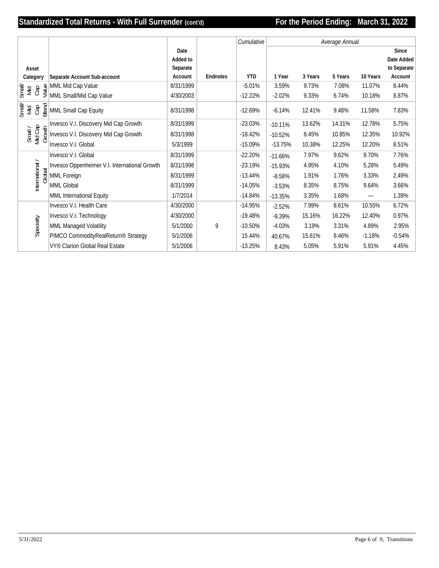# **Standardized Total Returns - With Full Surrender (cont'd) For the Period Ending: March 31, 2022**

|                                                                                                                                                                                            |                              |                                                            |                     |          | Cumulative | Average Annual |         |         |          |                          |
|--------------------------------------------------------------------------------------------------------------------------------------------------------------------------------------------|------------------------------|------------------------------------------------------------|---------------------|----------|------------|----------------|---------|---------|----------|--------------------------|
|                                                                                                                                                                                            |                              |                                                            | Date                |          |            |                |         |         |          | Since                    |
|                                                                                                                                                                                            |                              |                                                            | Added to            |          |            |                |         |         |          | Date Added               |
| Asset<br>Category                                                                                                                                                                          |                              | Separate Account Sub-account                               | Separate<br>Account | Endnotes | <b>YTD</b> | 1 Year         | 3 Years | 5 Years | 10 Years | to Separate<br>Account   |
|                                                                                                                                                                                            |                              |                                                            | 8/31/1999           |          | $-5.01%$   | 3.59%          | 9.73%   | 7.08%   | 11.07%   | 8.44%                    |
| $\begin{array}{c}\n\hline\n\text{Im}\,\overline{\text{Im}} \\ \text{Im}\,\overline{\text{Im}} \\ \text{Im}\,\overline{\text{Im}}\,\overline{\text{Im}}\,\overline{\text{Im}}\n\end{array}$ |                              | $\frac{9}{5}$ MML Mid Cap Value<br>MML Small/Mid Cap Value | 4/30/2003           |          | $-12.22%$  | $-2.02%$       | 9.33%   | 6.74%   | 10.18%   | 8.87%                    |
| Small)<br>Mid<br>Cap                                                                                                                                                                       | Blend                        | MML Small Cap Equity                                       | 8/31/1998           |          | $-12.69%$  | $-6.14%$       | 12.41%  | 9.48%   | 11.58%   | 7.83%                    |
|                                                                                                                                                                                            |                              | Invesco V.I. Discovery Mid Cap Growth                      | 8/31/1999           |          | $-23.03%$  | $-10.11%$      | 13.62%  | 14.31%  | 12.78%   | 5.75%                    |
|                                                                                                                                                                                            | Small /<br>Mid Cap<br>Growth | Invesco V.I. Discovery Mid Cap Growth                      | 8/31/1998           |          | $-18.42%$  | $-10.52%$      | 8.45%   | 10.85%  | 12.35%   | 10.92%                   |
|                                                                                                                                                                                            |                              | Invesco V.I. Global                                        | 5/3/1999            |          | $-15.09%$  | $-13.75%$      | 10.38%  | 12.25%  | 12.20%   | 8.51%                    |
|                                                                                                                                                                                            |                              | Invesco V.I. Global                                        | 8/31/1999           |          | $-22.20%$  | $-11.66%$      | 7.97%   | 9.62%   | 9.70%    | 7.76%                    |
| International /                                                                                                                                                                            |                              | Invesco Oppenheimer V.I. International Growth              | 8/31/1998           |          | $-23.19%$  | $-15.93%$      | 4.95%   | 4.10%   | 5.28%    | 5.49%                    |
|                                                                                                                                                                                            | Global                       | MML Foreign                                                | 8/31/1999           |          | $-13.44%$  | $-8.58%$       | 1.91%   | 1.76%   | 3.33%    | 2.49%                    |
|                                                                                                                                                                                            |                              | MML Global                                                 | 8/31/1999           |          | $-14.05%$  | $-3.53%$       | 8.35%   | 8.75%   | 9.64%    | 3.66%                    |
|                                                                                                                                                                                            |                              | MML International Equity                                   | 1/7/2014            |          | $-14.84%$  | $-13.35%$      | 3.35%   | 1.68%   | -        | 1.39%                    |
|                                                                                                                                                                                            |                              | Invesco V.I. Health Care                                   | 4/30/2000           |          | $-14.95%$  | $-2.52%$       | 7.99%   | 8.61%   | 10.55%   | 6.72%                    |
|                                                                                                                                                                                            |                              | Invesco V.I. Technology                                    | 4/30/2000           |          | $-19.48%$  | $-9.39%$       | 15.16%  | 16.22%  | 12.40%   | 0.97%                    |
|                                                                                                                                                                                            | Specialty                    | MML Managed Volatility                                     | 5/1/2000            | 9        | $-10.50%$  | $-4.03%$       | 3.19%   | 3.31%   | 4.89%    | 2.95%                    |
|                                                                                                                                                                                            |                              | PIMCO CommodityRealReturn <sup>®</sup> Strategy            | 5/1/2006            |          | 15.44%     | 40.67%         | 15.61%  | 8.46%   | $-1.18%$ | $-0.54%$                 |
|                                                                                                                                                                                            |                              | VY <sup>®</sup> Clarion Global Real Estate                 | 5/1/2006            |          | $-13.25%$  | 8.43%          | 5.05%   | 5.91%   | 5.91%    | 4.45%                    |
|                                                                                                                                                                                            |                              |                                                            |                     |          |            |                |         |         |          |                          |
| 5/31/2022                                                                                                                                                                                  |                              |                                                            |                     |          |            |                |         |         |          | Page 6 of 9, Transitions |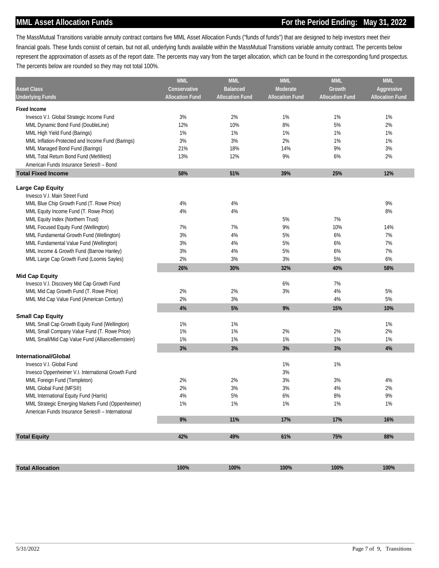# **MML Asset Allocation Funds For the Period Ending: May 31, 2022**

The MassMutual Transitions variable annuity contract contains five MML Asset Allocation Funds ("funds of funds") that are designed to help investors meet their financial goals. These funds consist of certain, but not all, underlying funds available within the MassMutual Transitions variable annuity contract. The percents below represent the approximation of assets as of the report date. The percents may vary from the target allocation, which can be found in the corresponding fund prospectus. The percents below are rounded so they may not total 100%.

| <b>MML</b>             | <b>MML</b>                                                                                                                      | <b>MML</b>                                                                                                                                    | <b>MML</b>                                                                                                                      | <b>MML</b>                                                                                                                         |
|------------------------|---------------------------------------------------------------------------------------------------------------------------------|-----------------------------------------------------------------------------------------------------------------------------------------------|---------------------------------------------------------------------------------------------------------------------------------|------------------------------------------------------------------------------------------------------------------------------------|
| Conservative           | <b>Balanced</b>                                                                                                                 | Moderate                                                                                                                                      | Growth                                                                                                                          | Aggressive                                                                                                                         |
| <b>Allocation Fund</b> | <b>Allocation Fund</b>                                                                                                          | <b>Allocation Fund</b>                                                                                                                        | <b>Allocation Fund</b>                                                                                                          | <b>Allocation Fund</b>                                                                                                             |
|                        |                                                                                                                                 |                                                                                                                                               |                                                                                                                                 |                                                                                                                                    |
| 3%                     | 2%                                                                                                                              | 1%                                                                                                                                            | 1%                                                                                                                              | 1%                                                                                                                                 |
| 12%                    | 10%                                                                                                                             | 8%                                                                                                                                            | 5%                                                                                                                              | 2%                                                                                                                                 |
| 1%                     | 1%                                                                                                                              | 1%                                                                                                                                            | 1%                                                                                                                              | 1%                                                                                                                                 |
|                        |                                                                                                                                 |                                                                                                                                               |                                                                                                                                 | 1%                                                                                                                                 |
| 21%                    | 18%                                                                                                                             | 14%                                                                                                                                           | 9%                                                                                                                              | 3%                                                                                                                                 |
| 13%                    | 12%                                                                                                                             | 9%                                                                                                                                            | 6%                                                                                                                              | 2%                                                                                                                                 |
|                        |                                                                                                                                 |                                                                                                                                               |                                                                                                                                 |                                                                                                                                    |
| 58%                    | 51%                                                                                                                             | 39%                                                                                                                                           | 25%                                                                                                                             | 12%                                                                                                                                |
|                        |                                                                                                                                 |                                                                                                                                               |                                                                                                                                 |                                                                                                                                    |
|                        |                                                                                                                                 |                                                                                                                                               |                                                                                                                                 |                                                                                                                                    |
|                        |                                                                                                                                 |                                                                                                                                               |                                                                                                                                 |                                                                                                                                    |
|                        |                                                                                                                                 |                                                                                                                                               |                                                                                                                                 | 9%                                                                                                                                 |
|                        |                                                                                                                                 |                                                                                                                                               |                                                                                                                                 | 8%                                                                                                                                 |
|                        |                                                                                                                                 |                                                                                                                                               |                                                                                                                                 |                                                                                                                                    |
|                        |                                                                                                                                 |                                                                                                                                               |                                                                                                                                 | 14%                                                                                                                                |
|                        |                                                                                                                                 |                                                                                                                                               |                                                                                                                                 | 7%                                                                                                                                 |
|                        |                                                                                                                                 |                                                                                                                                               |                                                                                                                                 | 7%                                                                                                                                 |
|                        |                                                                                                                                 |                                                                                                                                               |                                                                                                                                 | 7%                                                                                                                                 |
|                        |                                                                                                                                 |                                                                                                                                               |                                                                                                                                 | 6%                                                                                                                                 |
|                        |                                                                                                                                 |                                                                                                                                               |                                                                                                                                 | 58%                                                                                                                                |
|                        |                                                                                                                                 |                                                                                                                                               |                                                                                                                                 |                                                                                                                                    |
|                        |                                                                                                                                 |                                                                                                                                               |                                                                                                                                 |                                                                                                                                    |
|                        |                                                                                                                                 |                                                                                                                                               |                                                                                                                                 | 5%                                                                                                                                 |
|                        |                                                                                                                                 |                                                                                                                                               |                                                                                                                                 | 5%                                                                                                                                 |
|                        |                                                                                                                                 |                                                                                                                                               |                                                                                                                                 | 10%                                                                                                                                |
|                        |                                                                                                                                 |                                                                                                                                               |                                                                                                                                 |                                                                                                                                    |
|                        |                                                                                                                                 |                                                                                                                                               |                                                                                                                                 | 1%                                                                                                                                 |
|                        |                                                                                                                                 |                                                                                                                                               |                                                                                                                                 | 2%                                                                                                                                 |
|                        |                                                                                                                                 |                                                                                                                                               |                                                                                                                                 | 1%                                                                                                                                 |
| 3%                     | 3%                                                                                                                              | 3%                                                                                                                                            | 3%                                                                                                                              | 4%                                                                                                                                 |
|                        |                                                                                                                                 |                                                                                                                                               |                                                                                                                                 |                                                                                                                                    |
|                        |                                                                                                                                 |                                                                                                                                               |                                                                                                                                 |                                                                                                                                    |
|                        |                                                                                                                                 |                                                                                                                                               |                                                                                                                                 |                                                                                                                                    |
|                        |                                                                                                                                 |                                                                                                                                               |                                                                                                                                 | 4%                                                                                                                                 |
|                        |                                                                                                                                 |                                                                                                                                               |                                                                                                                                 | 2%                                                                                                                                 |
|                        |                                                                                                                                 |                                                                                                                                               |                                                                                                                                 | 9%                                                                                                                                 |
|                        |                                                                                                                                 |                                                                                                                                               |                                                                                                                                 | 1%                                                                                                                                 |
|                        |                                                                                                                                 |                                                                                                                                               |                                                                                                                                 |                                                                                                                                    |
|                        |                                                                                                                                 |                                                                                                                                               |                                                                                                                                 | 16%                                                                                                                                |
|                        |                                                                                                                                 |                                                                                                                                               |                                                                                                                                 | 88%                                                                                                                                |
|                        |                                                                                                                                 |                                                                                                                                               |                                                                                                                                 |                                                                                                                                    |
|                        |                                                                                                                                 |                                                                                                                                               |                                                                                                                                 |                                                                                                                                    |
|                        |                                                                                                                                 | 100%                                                                                                                                          | 100%                                                                                                                            | 100%                                                                                                                               |
|                        | 3%<br>4%<br>4%<br>7%<br>3%<br>3%<br>3%<br>2%<br>26%<br>2%<br>2%<br>4%<br>1%<br>1%<br>1%<br>2%<br>2%<br>4%<br>1%<br>$9\%$<br>42% | 3%<br>4%<br>4%<br>7%<br>4%<br>4%<br>4%<br>3%<br>30%<br>2%<br>3%<br>5%<br>1%<br>1%<br>1%<br>2%<br>3%<br>5%<br>1%<br>11%<br>49%<br>100%<br>100% | 2%<br>5%<br>9%<br>5%<br>5%<br>5%<br>3%<br>32%<br>6%<br>3%<br>9%<br>2%<br>1%<br>1%<br>$3%$<br>3%<br>3%<br>6%<br>1%<br>17%<br>61% | 1%<br>7%<br>10%<br>6%<br>$6\%$<br>6%<br>5%<br>40%<br>7%<br>4%<br>4%<br>15%<br>2%<br>1%<br>1%<br>3%<br>4%<br>8%<br>1%<br>17%<br>75% |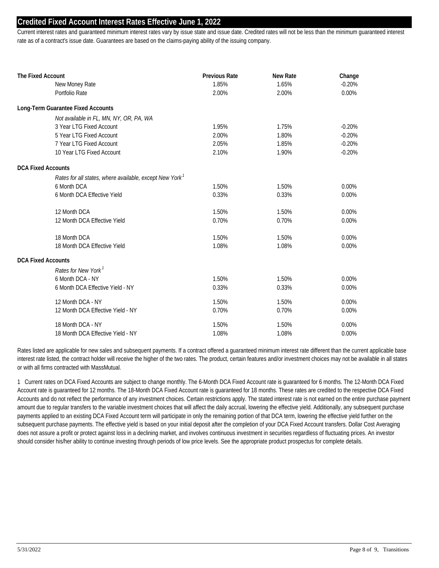## **Credited Fixed Account Interest Rates Effective June 1, 2022**

Current interest rates and guaranteed minimum interest rates vary by issue state and issue date. Credited rates will not be less than the minimum guaranteed interest rate as of a contract's issue date. Guarantees are based on the claims-paying ability of the issuing company.

| The Fixed Account |                                                         | <b>Previous Rate</b> | <b>New Rate</b> | Change            |  |
|-------------------|---------------------------------------------------------|----------------------|-----------------|-------------------|--|
|                   | New Money Rate                                          | 1.85%                | 1.65%           | $-0.20%$<br>0.00% |  |
|                   | Portfolio Rate                                          | 2.00%                | 2.00%           |                   |  |
|                   | Long-Term Guarantee Fixed Accounts                      |                      |                 |                   |  |
|                   | Not available in FL, MN, NY, OR, PA, WA                 |                      |                 |                   |  |
|                   | 3 Year LTG Fixed Account                                | 1.95%                | 1.75%           | $-0.20%$          |  |
|                   | 5 Year LTG Fixed Account                                | 2.00%                | 1.80%           | $-0.20%$          |  |
|                   | 7 Year LTG Fixed Account                                | 2.05%                | 1.85%           | $-0.20%$          |  |
|                   | 10 Year LTG Fixed Account                               | 2.10%                | 1.90%           | $-0.20%$          |  |
|                   | <b>DCA Fixed Accounts</b>                               |                      |                 |                   |  |
|                   | Rates for all states, where available, except New York' |                      |                 |                   |  |
|                   | 6 Month DCA                                             | 1.50%                | 1.50%           | $0.00\%$          |  |
|                   | 6 Month DCA Effective Yield                             | 0.33%                | 0.33%           | 0.00%             |  |
|                   | 12 Month DCA                                            | 1.50%                | 1.50%           | 0.00%             |  |
|                   | 12 Month DCA Effective Yield                            | 0.70%                | 0.70%           | 0.00%             |  |
|                   | 18 Month DCA                                            | 1.50%                | 1.50%           | 0.00%             |  |
|                   | 18 Month DCA Effective Yield                            | 1.08%                | 1.08%           | 0.00%             |  |
|                   | <b>DCA Fixed Accounts</b>                               |                      |                 |                   |  |
|                   | Rates for New York <sup>1</sup>                         |                      |                 |                   |  |
|                   | 6 Month DCA - NY                                        | 1.50%                | 1.50%           | $0.00\%$          |  |
|                   | 6 Month DCA Effective Yield - NY                        | 0.33%                | 0.33%           | 0.00%             |  |
|                   | 12 Month DCA - NY                                       | 1.50%                | 1.50%           | 0.00%             |  |
|                   | 12 Month DCA Effective Yield - NY                       | 0.70%                | 0.70%           | 0.00%             |  |
|                   | 18 Month DCA - NY                                       | 1.50%                | 1.50%           | 0.00%             |  |
|                   | 18 Month DCA Effective Yield - NY                       | 1.08%                | 1.08%           | 0.00%             |  |

Rates listed are applicable for new sales and subsequent payments. If a contract offered a guaranteed minimum interest rate different than the current applicable base interest rate listed, the contract holder will receive the higher of the two rates. The product, certain features and/or investment choices may not be available in all states or with all firms contracted with MassMutual.

1 Current rates on DCA Fixed Accounts are subject to change monthly. The 6-Month DCA Fixed Account rate is guaranteed for 6 months. The 12-Month DCA Fixed Account rate is guaranteed for 12 months. The 18-Month DCA Fixed Account rate is guaranteed for 18 months. These rates are credited to the respective DCA Fixed Accounts and do not reflect the performance of any investment choices. Certain restrictions apply. The stated interest rate is not earned on the entire purchase payment amount due to regular transfers to the variable investment choices that will affect the daily accrual, lowering the effective yield. Additionally, any subsequent purchase payments applied to an existing DCA Fixed Account term will participate in only the remaining portion of that DCA term, lowering the effective yield further on the subsequent purchase payments. The effective yield is based on your initial deposit after the completion of your DCA Fixed Account transfers. Dollar Cost Averaging does not assure a profit or protect against loss in a declining market, and involves continuous investment in securities regardless of fluctuating prices. An investor should consider his/her ability to continue investing through periods of low price levels. See the appropriate product prospectus for complete details.